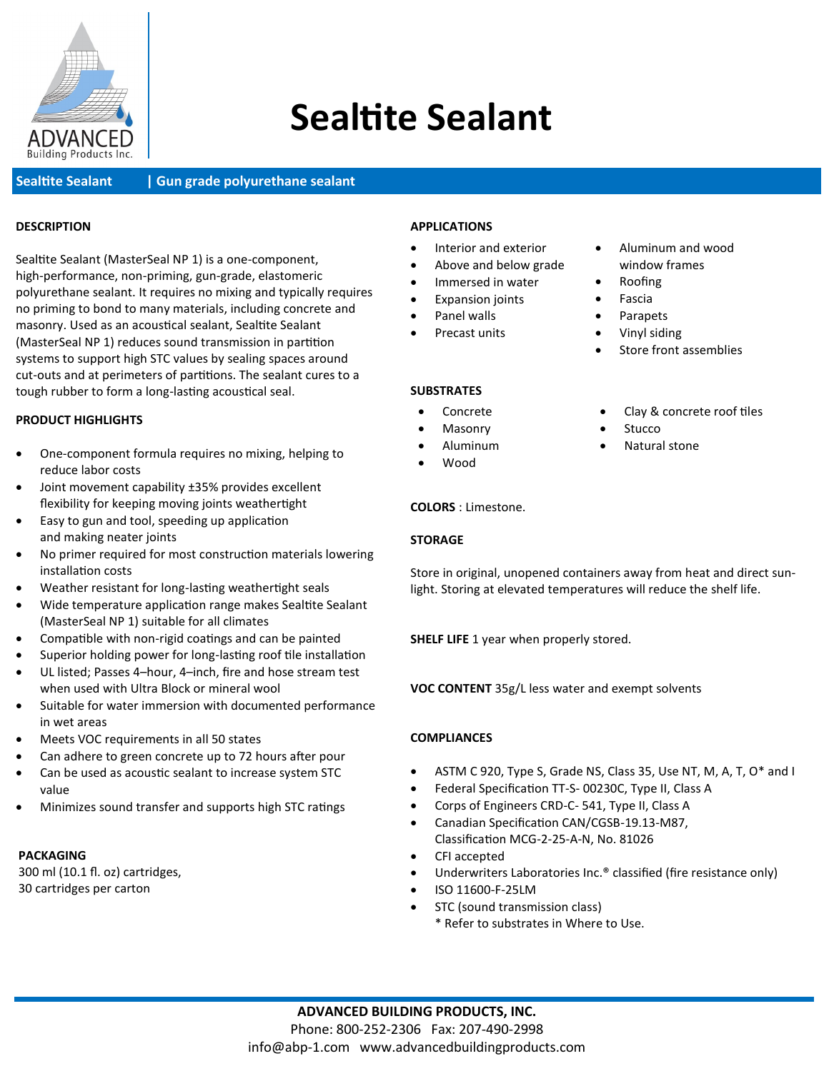

# **Sealtite Sealant**

**Sealtite Sealant | Gun grade polyurethane sealant** 

#### **DESCRIPTION**

Sealtite Sealant (MasterSeal NP 1) is a one-component, high-performance, non-priming, gun-grade, elastomeric polyurethane sealant. It requires no mixing and typically requires no priming to bond to many materials, including concrete and masonry. Used as an acoustical sealant, Sealtite Sealant (MasterSeal NP 1) reduces sound transmission in partition systems to support high STC values by sealing spaces around cut-outs and at perimeters of partitions. The sealant cures to a tough rubber to form a long-lasting acoustical seal.

#### **PRODUCT HIGHLIGHTS**

- One-component formula requires no mixing, helping to reduce labor costs
- Joint movement capability ±35% provides excellent flexibility for keeping moving joints weathertight
- Easy to gun and tool, speeding up application and making neater joints
- No primer required for most construction materials lowering installation costs
- Weather resistant for long-lasting weathertight seals
- Wide temperature application range makes Sealtite Sealant (MasterSeal NP 1) suitable for all climates
- Compatible with non-rigid coatings and can be painted
- Superior holding power for long-lasting roof tile installation
- UL listed; Passes 4–hour, 4–inch, fire and hose stream test when used with Ultra Block or mineral wool
- Suitable for water immersion with documented performance in wet areas
- Meets VOC requirements in all 50 states
- Can adhere to green concrete up to 72 hours after pour
- Can be used as acoustic sealant to increase system STC value
- Minimizes sound transfer and supports high STC ratings

#### **PACKAGING**

300 ml (10.1 fl. oz) cartridges, 30 cartridges per carton

#### **APPLICATIONS**

- Interior and exterior
- Above and below grade
- Immersed in water
- Expansion joints
- Panel walls
- Precast units

### **SUBSTRATES**

- Concrete
- Masonry
	- Aluminum
- Wood

#### **COLORS** : Limestone.

#### **STORAGE**

Store in original, unopened containers away from heat and direct sunlight. Storing at elevated temperatures will reduce the shelf life.

**SHELF LIFE** 1 year when properly stored.

**VOC CONTENT** 35g/L less water and exempt solvents

#### **COMPLIANCES**

- ASTM C 920, Type S, Grade NS, Class 35, Use NT, M, A, T, O\* and I
- Federal Specification TT-S- 00230C, Type II, Class A
- Corps of Engineers CRD-C- 541, Type II, Class A
- Canadian Specification CAN/CGSB-19.13-M87, Classification MCG-2-25-A-N, No. 81026
- CFI accepted
- Underwriters Laboratories Inc.<sup>®</sup> classified (fire resistance only)
- ISO 11600-F-25LM
- STC (sound transmission class)
	- \* Refer to substrates in Where to Use.

• Clay & concrete roof tiles

Store front assemblies

• Aluminum and wood window frames

• Roofing **Fascia** • Parapets • Vinyl siding

- **Stucco**
- Natural stone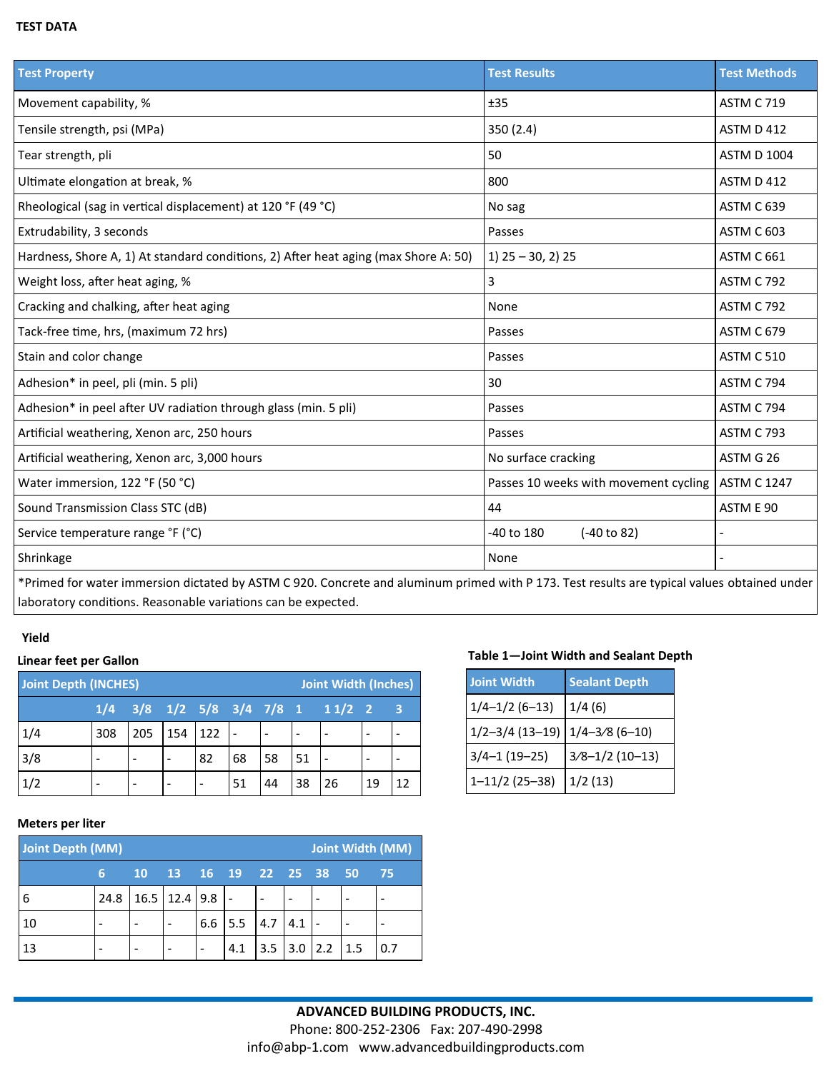### **TEST DATA**

| <b>Test Property</b>                                                                                                 | <b>Test Results</b>                   | <b>Test Methods</b> |
|----------------------------------------------------------------------------------------------------------------------|---------------------------------------|---------------------|
| Movement capability, %                                                                                               | ±35                                   | <b>ASTM C 719</b>   |
| Tensile strength, psi (MPa)                                                                                          | 350 (2.4)                             | <b>ASTM D 412</b>   |
| Tear strength, pli                                                                                                   | 50                                    | <b>ASTM D 1004</b>  |
| Ultimate elongation at break, %                                                                                      | 800                                   | <b>ASTM D 412</b>   |
| Rheological (sag in vertical displacement) at 120 °F (49 °C)                                                         | No sag                                | ASTM C 639          |
| Extrudability, 3 seconds                                                                                             | Passes                                | <b>ASTM C 603</b>   |
| Hardness, Shore A, 1) At standard conditions, 2) After heat aging (max Shore A: 50)                                  | $1)$ 25 - 30, 2) 25                   | <b>ASTM C 661</b>   |
| Weight loss, after heat aging, %                                                                                     | 3                                     | <b>ASTM C 792</b>   |
| Cracking and chalking, after heat aging                                                                              | None                                  | <b>ASTM C 792</b>   |
| Tack-free time, hrs, (maximum 72 hrs)                                                                                | Passes                                | <b>ASTM C 679</b>   |
| Stain and color change                                                                                               | Passes                                | <b>ASTM C 510</b>   |
| Adhesion* in peel, pli (min. 5 pli)                                                                                  | 30                                    | <b>ASTM C 794</b>   |
| Adhesion* in peel after UV radiation through glass (min. 5 pli)                                                      | Passes                                | <b>ASTM C 794</b>   |
| Artificial weathering, Xenon arc, 250 hours                                                                          | Passes                                | ASTM C 793          |
| Artificial weathering, Xenon arc, 3,000 hours                                                                        | No surface cracking                   | ASTM G 26           |
| Water immersion, 122 °F (50 °C)                                                                                      | Passes 10 weeks with movement cycling | <b>ASTM C 1247</b>  |
| Sound Transmission Class STC (dB)                                                                                    | 44                                    | ASTM E 90           |
| Service temperature range °F (°C)                                                                                    | -40 to 180<br>(-40 to 82)             |                     |
| Shrinkage                                                                                                            | None                                  |                     |
| $*$ Daire de ferrocet en incorporation district de la co $\overline{C}$ TM (COOO). Concrete par de la costruit de la |                                       |                     |

\*Primed for water immersion dictated by ASTM C 920. Concrete and aluminum primed with P 173. Test results are typical values obtained under laboratory conditions. Reasonable variations can be expected.

#### **Yield**

| <b>Joint Depth (INCHES)</b><br>Joint Width (Inches) |     |     |     |     |    |    |    |                                                |    |     |
|-----------------------------------------------------|-----|-----|-----|-----|----|----|----|------------------------------------------------|----|-----|
|                                                     |     |     |     |     |    |    |    | $1/4$ $3/8$ $1/2$ $5/8$ $3/4$ $7/8$ 1 $11/2$ 2 |    | - 3 |
| 1/4                                                 | 308 | 205 | 154 | 122 |    |    |    |                                                |    |     |
| 3/8                                                 |     |     |     | 82  | 68 | 58 | 51 |                                                |    |     |
| 1/2                                                 |     |     |     |     | 51 | 44 | 38 | 26                                             | 19 | 12  |

#### **Meters per liter**

| <b>Joint Width (MM)</b><br>Joint Depth (MM) |      |                     |                   |     |              |     |     |             |     |    |
|---------------------------------------------|------|---------------------|-------------------|-----|--------------|-----|-----|-------------|-----|----|
|                                             | 6    | <b>10</b>           | 13 16 19 22 25 38 |     |              |     |     |             | 50  | 75 |
| 6                                           | 24.8 | $16.5$   12.4   9.8 |                   |     |              |     |     |             |     |    |
| 10                                          |      |                     |                   | 6.6 | $5.5 \, 4.7$ |     | 4.1 |             |     |    |
| 13                                          |      |                     |                   |     | 4.1          | 3.5 | 3.0 | $\vert$ 2.2 | 1.5 |    |

## **Table 1—Joint Width and Sealant Depth Linear feet per Gallon**

| <b>Joint Width</b>  | <b>Sealant Depth</b> |
|---------------------|----------------------|
| $1/4 - 1/2$ (6-13)  | 1/4(6)               |
| $1/2 - 3/4$ (13-19) | $1/4 - 3/8$ (6-10)   |
| $3/4-1(19-25)$      | $3/8 - 1/2$ (10-13)  |
| $1 - 11/2$ (25-38)  | 1/2(13)              |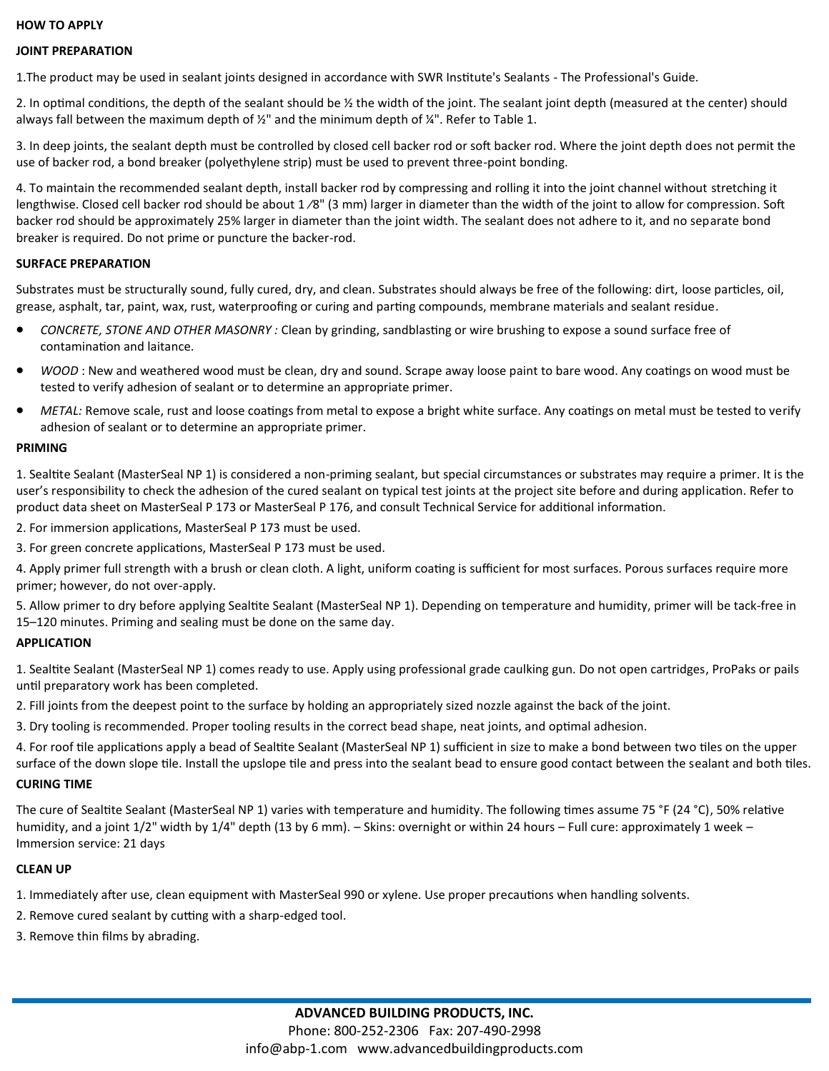#### **HOW TO APPLY**

#### **JOINT PREPARATION**

1.The product may be used in sealant joints designed in accordance with SWR Institute's Sealants - The Professional's Guide.

2. In optimal conditions, the depth of the sealant should be ½ the width of the joint. The sealant joint depth (measured at the center) should always fall between the maximum depth of  $\frac{1}{2}$ " and the minimum depth of  $\frac{1}{4}$ ". Refer to Table 1.

3. In deep joints, the sealant depth must be controlled by closed cell backer rod or soft backer rod. Where the joint depth does not permit the use of backer rod, a bond breaker (polyethylene strip) must be used to prevent three-point bonding.

4. To maintain the recommended sealant depth, install backer rod by compressing and rolling it into the joint channel without stretching it lengthwise. Closed cell backer rod should be about  $1/8$ " (3 mm) larger in diameter than the width of the joint to allow for compression. Soft backer rod should be approximately 25% larger in diameter than the joint width. The sealant does not adhere to it, and no separate bond breaker is required. Do not prime or puncture the backer-rod.

#### **SURFACE PREPARATION**

Substrates must be structurally sound, fully cured, dry, and clean. Substrates should always be free of the following: dirt, loose particles, oil, grease, asphalt, tar, paint, wax, rust, waterproofing or curing and parting compounds, membrane materials and sealant residue.

- *CONCRETE, STONE AND OTHER MASONRY :* Clean by grinding, sandblasting or wire brushing to expose a sound surface free of contamination and laitance.
- *WOOD* : New and weathered wood must be clean, dry and sound. Scrape away loose paint to bare wood. Any coatings on wood must be tested to verify adhesion of sealant or to determine an appropriate primer.
- *METAL:* Remove scale, rust and loose coatings from metal to expose a bright white surface. Any coatings on metal must be tested to verify adhesion of sealant or to determine an appropriate primer.

#### **PRIMING**

1. Sealtite Sealant (MasterSeal NP 1) is considered a non-priming sealant, but special circumstances or substrates may require a primer. It is the user's responsibility to check the adhesion of the cured sealant on typical test joints at the project site before and during application. Refer to product data sheet on MasterSeal P 173 or MasterSeal P 176, and consult Technical Service for additional information.

2. For immersion applications, MasterSeal P 173 must be used.

3. For green concrete applications, MasterSeal P 173 must be used.

4. Apply primer full strength with a brush or clean cloth. A light, uniform coating is sufficient for most surfaces. Porous surfaces require more primer; however, do not over-apply.

5. Allow primer to dry before applying Sealtite Sealant (MasterSeal NP 1). Depending on temperature and humidity, primer will be tack-free in 15–120 minutes. Priming and sealing must be done on the same day.

#### **APPLICATION**

1. Sealtite Sealant (MasterSeal NP 1) comes ready to use. Apply using professional grade caulking gun. Do not open cartridges, ProPaks or pails until preparatory work has been completed.

2. Fill joints from the deepest point to the surface by holding an appropriately sized nozzle against the back of the joint.

3. Dry tooling is recommended. Proper tooling results in the correct bead shape, neat joints, and optimal adhesion.

4. For roof tile applications apply a bead of Sealtite Sealant (MasterSeal NP 1) sufficient in size to make a bond between two tiles on the upper surface of the down slope tile. Install the upslope tile and press into the sealant bead to ensure good contact between the sealant and both tiles.

#### **CURING TIME**

The cure of Sealtite Sealant (MasterSeal NP 1) varies with temperature and humidity. The following times assume 75 °F (24 °C), 50% relative humidity, and a joint 1/2" width by 1/4" depth (13 by 6 mm). – Skins: overnight or within 24 hours – Full cure: approximately 1 week – Immersion service: 21 days

#### **CLEAN UP**

- 1. Immediately after use, clean equipment with MasterSeal 990 or xylene. Use proper precautions when handling solvents.
- 2. Remove cured sealant by cutting with a sharp-edged tool.
- 3. Remove thin films by abrading.